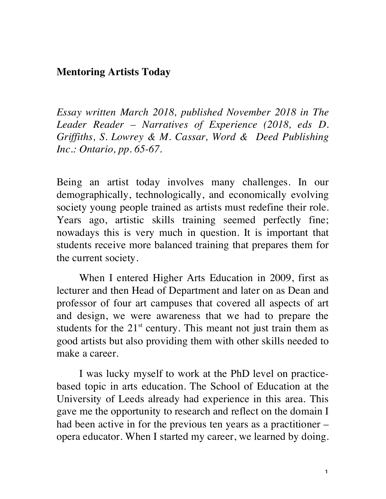## **Mentoring Artists Today**

*Essay written March 2018, published November 2018 in The Leader Reader – Narratives of Experience (2018, eds D. Griffiths, S. Lowrey & M. Cassar, Word & Deed Publishing Inc.: Ontario, pp. 65-67.*

Being an artist today involves many challenges. In our demographically, technologically, and economically evolving society young people trained as artists must redefine their role. Years ago, artistic skills training seemed perfectly fine; nowadays this is very much in question. It is important that students receive more balanced training that prepares them for the current society.

When I entered Higher Arts Education in 2009, first as lecturer and then Head of Department and later on as Dean and professor of four art campuses that covered all aspects of art and design, we were awareness that we had to prepare the students for the  $21<sup>st</sup>$  century. This meant not just train them as good artists but also providing them with other skills needed to make a career.

I was lucky myself to work at the PhD level on practicebased topic in arts education. The School of Education at the University of Leeds already had experience in this area. This gave me the opportunity to research and reflect on the domain I had been active in for the previous ten years as a practitioner – opera educator. When I started my career, we learned by doing.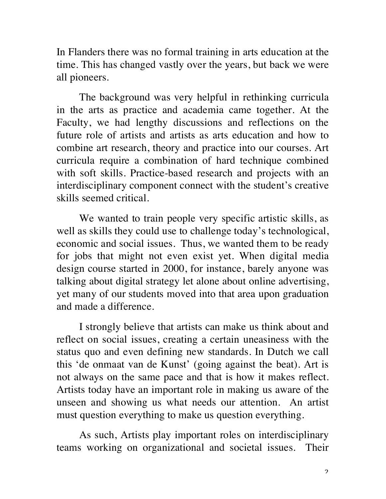In Flanders there was no formal training in arts education at the time. This has changed vastly over the years, but back we were all pioneers.

The background was very helpful in rethinking curricula in the arts as practice and academia came together. At the Faculty, we had lengthy discussions and reflections on the future role of artists and artists as arts education and how to combine art research, theory and practice into our courses. Art curricula require a combination of hard technique combined with soft skills. Practice-based research and projects with an interdisciplinary component connect with the student's creative skills seemed critical.

We wanted to train people very specific artistic skills, as well as skills they could use to challenge today's technological, economic and social issues. Thus, we wanted them to be ready for jobs that might not even exist yet. When digital media design course started in 2000, for instance, barely anyone was talking about digital strategy let alone about online advertising, yet many of our students moved into that area upon graduation and made a difference.

I strongly believe that artists can make us think about and reflect on social issues, creating a certain uneasiness with the status quo and even defining new standards. In Dutch we call this 'de onmaat van de Kunst' (going against the beat). Art is not always on the same pace and that is how it makes reflect. Artists today have an important role in making us aware of the unseen and showing us what needs our attention. An artist must question everything to make us question everything.

As such, Artists play important roles on interdisciplinary teams working on organizational and societal issues. Their